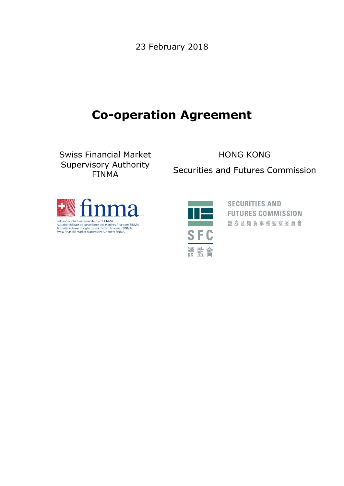23 February 2018

# **Co-operation Agreement**

Swiss Financial Market Supervisory Authority FINMA

HONG KONG

Securities and Futures Commission





**SECURITIES AND FUTURES COMMISSION** 證券及期貨事務監察委員會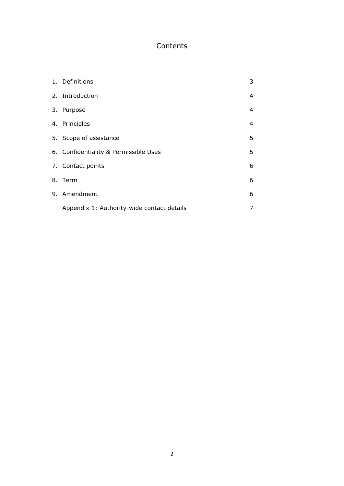# Contents

| 1. Definitions                             | 3 |
|--------------------------------------------|---|
| 2. Introduction                            | 4 |
| 3. Purpose                                 | 4 |
| 4. Principles                              | 4 |
| 5. Scope of assistance                     | 5 |
| 6. Confidentiality & Permissible Uses      | 5 |
| 7. Contact points                          | 6 |
| 8. Term                                    | 6 |
| 9. Amendment                               | 6 |
| Appendix 1: Authority-wide contact details | 7 |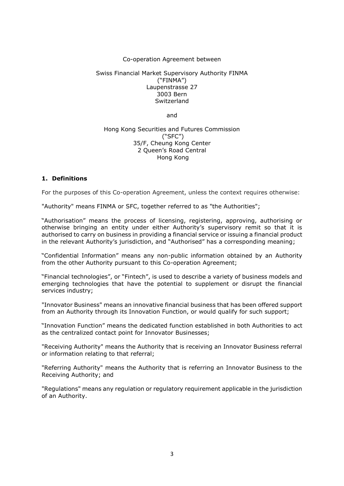# Co-operation Agreement between

#### Swiss Financial Market Supervisory Authority FINMA ("FINMA") Laupenstrasse 27 3003 Bern **Switzerland**

and

#### Hong Kong Securities and Futures Commission ("SFC") 35/F, Cheung Kong Center 2 Queen's Road Central Hong Kong

# **1. Definitions**

For the purposes of this Co-operation Agreement, unless the context requires otherwise:

"Authority" means FINMA or SFC, together referred to as "the Authorities";

"Authorisation" means the process of licensing, registering, approving, authorising or otherwise bringing an entity under either Authority's supervisory remit so that it is authorised to carry on business in providing a financial service or issuing a financial product in the relevant Authority's jurisdiction, and "Authorised" has a corresponding meaning;

"Confidential Information" means any non-public information obtained by an Authority from the other Authority pursuant to this Co-operation Agreement;

"Financial technologies", or "Fintech", is used to describe a variety of business models and emerging technologies that have the potential to supplement or disrupt the financial services industry;

"Innovator Business" means an innovative financial business that has been offered support from an Authority through its Innovation Function, or would qualify for such support;

"Innovation Function" means the dedicated function established in both Authorities to act as the centralized contact point for Innovator Businesses;

"Receiving Authority" means the Authority that is receiving an Innovator Business referral or information relating to that referral;

"Referring Authority" means the Authority that is referring an Innovator Business to the Receiving Authority; and

"Regulations" means any regulation or regulatory requirement applicable in the jurisdiction of an Authority.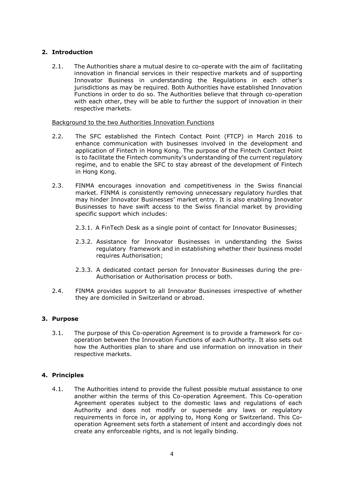# **2. Introduction**

2.1. The Authorities share a mutual desire to co-operate with the aim of facilitating innovation in financial services in their respective markets and of supporting Innovator Business in understanding the Regulations in each other's jurisdictions as may be required. Both Authorities have established Innovation Functions in order to do so. The Authorities believe that through co-operation with each other, they will be able to further the support of innovation in their respective markets.

# Background to the two Authorities Innovation Functions

- 2.2. The SFC established the Fintech Contact Point (FTCP) in March 2016 to enhance communication with businesses involved in the development and application of Fintech in Hong Kong. The purpose of the Fintech Contact Point is to facilitate the Fintech community's understanding of the current regulatory regime, and to enable the SFC to stay abreast of the development of Fintech in Hong Kong.
- 2.3. FINMA encourages innovation and competitiveness in the Swiss financial market. FINMA is consistently removing unnecessary regulatory hurdles that may hinder Innovator Businesses' market entry. It is also enabling Innovator Businesses to have swift access to the Swiss financial market by providing specific support which includes:
	- 2.3.1. A FinTech Desk as a single point of contact for Innovator Businesses;
	- 2.3.2. Assistance for Innovator Businesses in understanding the Swiss regulatory framework and in establishing whether their business model requires Authorisation;
	- 2.3.3. A dedicated contact person for Innovator Businesses during the pre-Authorisation or Authorisation process or both.
- 2.4. FINMA provides support to all Innovator Businesses irrespective of whether they are domiciled in Switzerland or abroad.

# **3. Purpose**

3.1. The purpose of this Co-operation Agreement is to provide a framework for cooperation between the Innovation Functions of each Authority. It also sets out how the Authorities plan to share and use information on innovation in their respective markets.

# **4. Principles**

4.1. The Authorities intend to provide the fullest possible mutual assistance to one another within the terms of this Co-operation Agreement. This Co-operation Agreement operates subject to the domestic laws and regulations of each Authority and does not modify or supersede any laws or regulatory requirements in force in, or applying to, Hong Kong or Switzerland. This Cooperation Agreement sets forth a statement of intent and accordingly does not create any enforceable rights, and is not legally binding.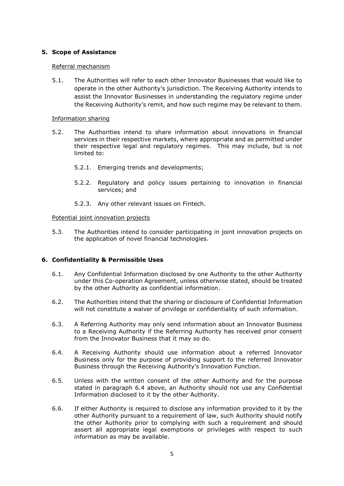# **5. Scope of Assistance**

#### Referral mechanism

5.1. The Authorities will refer to each other Innovator Businesses that would like to operate in the other Authority's jurisdiction. The Receiving Authority intends to assist the Innovator Businesses in understanding the regulatory regime under the Receiving Authority's remit, and how such regime may be relevant to them.

#### Information sharing

- 5.2. The Authorities intend to share information about innovations in financial services in their respective markets, where appropriate and as permitted under their respective legal and regulatory regimes. This may include, but is not limited to:
	- 5.2.1. Emerging trends and developments;
	- 5.2.2. Regulatory and policy issues pertaining to innovation in financial services; and
	- 5.2.3. Any other relevant issues on Fintech.

#### Potential joint innovation projects

5.3. The Authorities intend to consider participating in joint innovation projects on the application of novel financial technologies.

# **6. Confidentiality & Permissible Uses**

- 6.1. Any Confidential Information disclosed by one Authority to the other Authority under this Co-operation Agreement, unless otherwise stated, should be treated by the other Authority as confidential information.
- 6.2. The Authorities intend that the sharing or disclosure of Confidential Information will not constitute a waiver of privilege or confidentiality of such information.
- 6.3. A Referring Authority may only send information about an Innovator Business to a Receiving Authority if the Referring Authority has received prior consent from the Innovator Business that it may so do.
- 6.4. A Receiving Authority should use information about a referred Innovator Business only for the purpose of providing support to the referred Innovator Business through the Receiving Authority's Innovation Function.
- 6.5. Unless with the written consent of the other Authority and for the purpose stated in paragraph 6.4 above, an Authority should not use any Confidential Information disclosed to it by the other Authority.
- 6.6. If either Authority is required to disclose any information provided to it by the other Authority pursuant to a requirement of law, such Authority should notify the other Authority prior to complying with such a requirement and should assert all appropriate legal exemptions or privileges with respect to such information as may be available.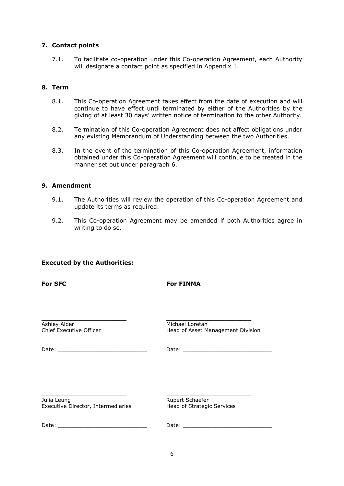# **7. Contact points**

7.1. To facilitate co-operation under this Co-operation Agreement, each Authority will designate a contact point as specified in Appendix 1.

# **8. Term**

- 8.1. This Co-operation Agreement takes effect from the date of execution and will continue to have effect until terminated by either of the Authorities by the giving of at least 30 days' written notice of termination to the other Authority.
- 8.2. Termination of this Co-operation Agreement does not affect obligations under any existing Memorandum of Understanding between the two Authorities.
- 8.3. In the event of the termination of this Co-operation Agreement, information obtained under this Co-operation Agreement will continue to be treated in the manner set out under paragraph 6.

# **9. Amendment**

- 9.1. The Authorities will review the operation of this Co-operation Agreement and update its terms as required.
- 9.2. This Co-operation Agreement may be amended if both Authorities agree in writing to do so.

# **Executed by the Authorities:**

**For FINMA** 

| Ashley Alder            | Michael Loretan                   |
|-------------------------|-----------------------------------|
| Chief Executive Officer | Head of Asset Management Division |

Date: \_\_\_\_\_\_\_\_\_\_\_\_\_\_\_\_\_\_\_\_\_\_\_\_\_\_\_ Date: \_\_\_\_\_\_\_\_\_\_\_\_\_\_\_\_\_\_\_\_\_\_\_\_\_\_\_

Julia Leung **Rupert Schaefer** Executive Director, Intermediaries Head of Strategic Services

**\_\_\_\_\_\_\_\_\_\_\_\_\_\_\_\_\_\_\_\_\_\_\_ \_\_\_\_\_\_\_\_\_\_\_\_\_\_\_\_\_\_\_\_\_\_\_**

Date: \_\_\_\_\_\_\_\_\_\_\_\_\_\_\_\_\_\_\_\_\_\_\_\_\_\_\_ Date: \_\_\_\_\_\_\_\_\_\_\_\_\_\_\_\_\_\_\_\_\_\_\_\_\_\_\_